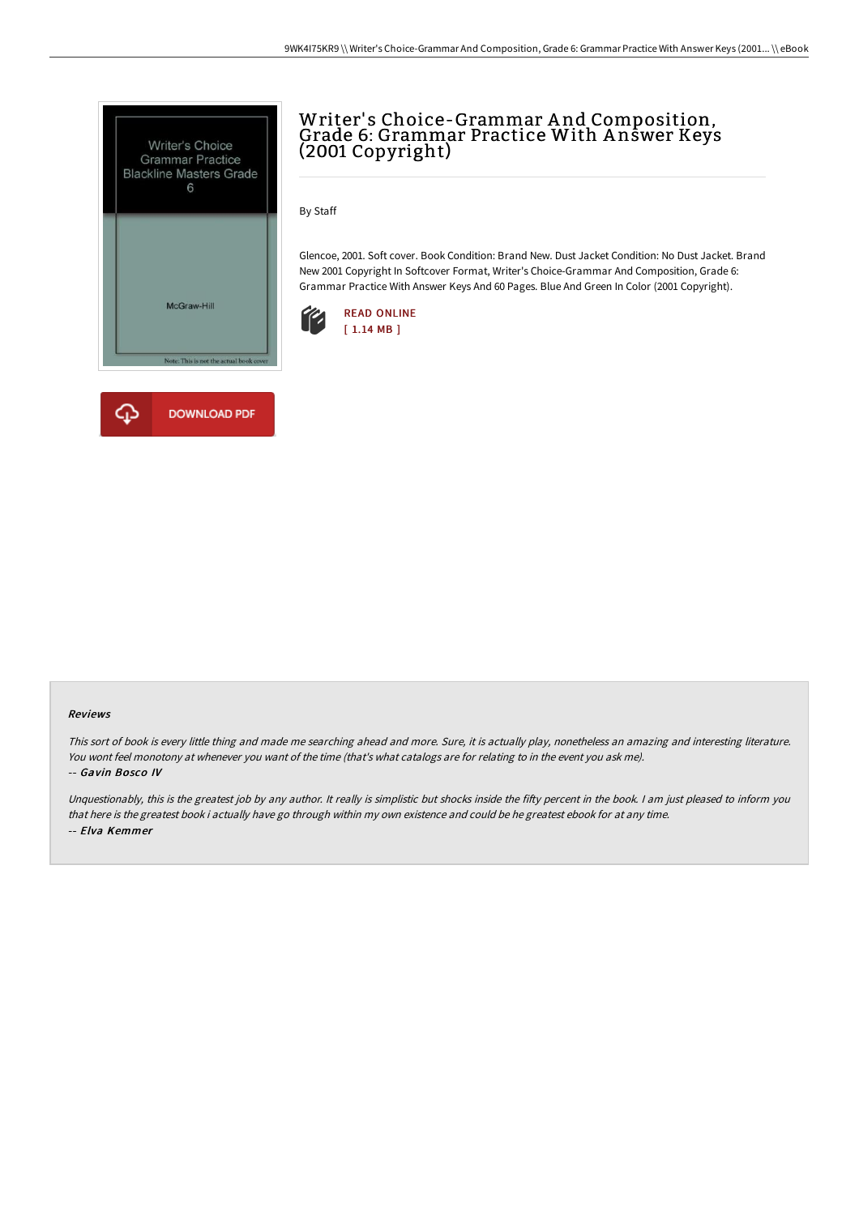



## Writer's Choice-Grammar And Composition,<br>Grade 6: Grammar Practice With Answer Keys (2001 Copyright)

By Staff

Glencoe, 2001. Soft cover. Book Condition: Brand New. Dust Jacket Condition: No Dust Jacket. Brand New 2001 Copyright In Softcover Format, Writer's Choice-Grammar And Composition, Grade 6: Grammar Practice With Answer Keys And 60 Pages. Blue And Green In Color (2001 Copyright).



## Reviews

This sort of book is every little thing and made me searching ahead and more. Sure, it is actually play, nonetheless an amazing and interesting literature. You wont feel monotony at whenever you want of the time (that's what catalogs are for relating to in the event you ask me). -- Gavin Bosco IV

Unquestionably, this is the greatest job by any author. It really is simplistic but shocks inside the fifty percent in the book. I am just pleased to inform you that here is the greatest book i actually have go through within my own existence and could be he greatest ebook for at any time. -- Elva Kemmer